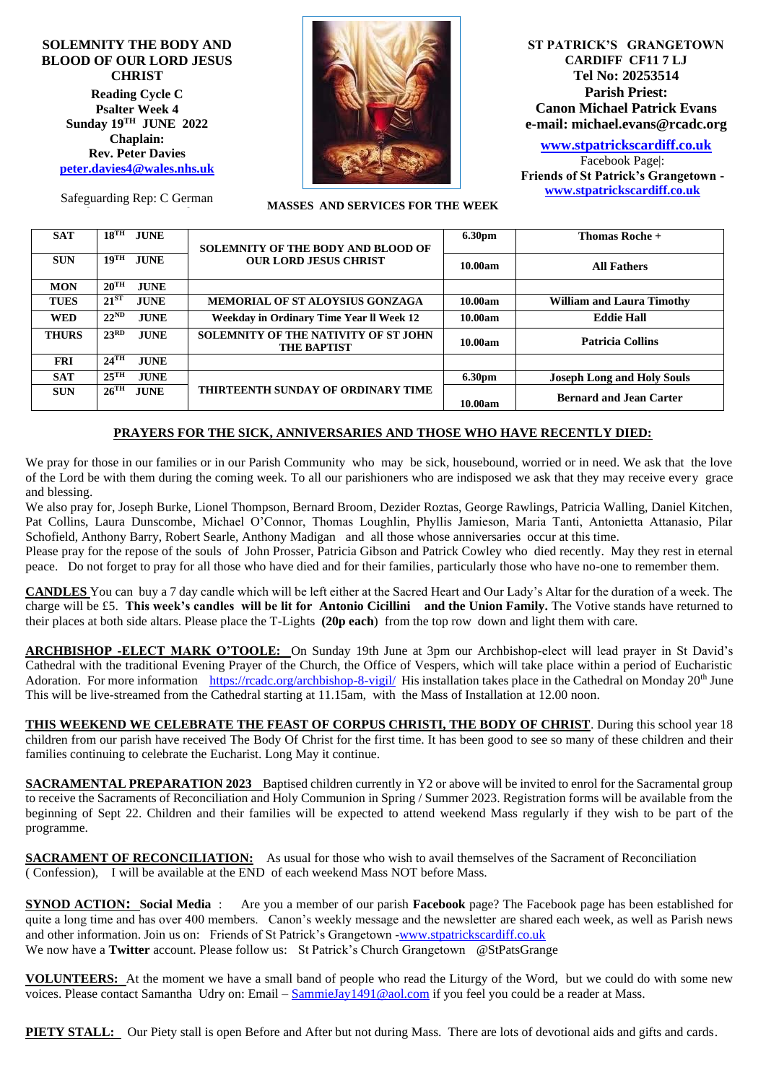**SOLEMNITY THE BODY AND BLOOD OF OUR LORD JESUS CHRIST Reading Cycle C Psalter Week 4 Sunday 19 TH JUNE 2022 Chaplain: Rev. Peter Davies [peter.davies4@wales.nhs.uk](mailto:peter.davies4@wales.nhs.uk)**



**ST PATRICK'S GRANGETOWN CARDIFF CF11 7 LJ Tel No: 20253514 Parish Priest: Canon Michael Patrick Evans e-mail: michael.evans@rcadc.org**

**[www.stpatrickscardiff.co.uk](http://www.stpatrickscardiff.co.uk/)**

Facebook Page|: **Friends of St Patrick's Grangetown [www.stpatrickscardiff.co.uk](http://www.stpatrickscardiff.co.uk/)**

 **MASSES AND SERVICES FOR THE WEEK**

| <b>SAT</b>   | $18$ <sup>TH</sup><br><b>JUNE</b> | <b>SOLEMNITY OF THE BODY AND BLOOD OF</b><br><b>OUR LORD JESUS CHRIST</b> | <b>6.30pm</b> | Thomas Roche +                    |
|--------------|-----------------------------------|---------------------------------------------------------------------------|---------------|-----------------------------------|
| <b>SUN</b>   | $19$ <sup>TH</sup><br><b>JUNE</b> |                                                                           | 10.00am       | <b>All Fathers</b>                |
| <b>MON</b>   | $20^{\text{TH}}$<br><b>JUNE</b>   |                                                                           |               |                                   |
| <b>TUES</b>  | $21^{ST}$<br><b>JUNE</b>          | <b>MEMORIAL OF ST ALOYSIUS GONZAGA</b>                                    | 10.00am       | <b>William and Laura Timothy</b>  |
| <b>WED</b>   | $22^{\text{ND}}$<br><b>JUNE</b>   | Weekday in Ordinary Time Year II Week 12                                  | 10.00am       | <b>Eddie Hall</b>                 |
| <b>THURS</b> | 23 <sup>RD</sup><br><b>JUNE</b>   | <b>SOLEMNITY OF THE NATIVITY OF ST JOHN</b><br><b>THE BAPTIST</b>         | 10.00am       | <b>Patricia Collins</b>           |
| <b>FRI</b>   | $24$ <sup>TH</sup><br><b>JUNE</b> |                                                                           |               |                                   |
| <b>SAT</b>   | $25$ <sup>TH</sup><br><b>JUNE</b> | THIRTEENTH SUNDAY OF ORDINARY TIME                                        | <b>6.30pm</b> | <b>Joseph Long and Holy Souls</b> |
| <b>SUN</b>   | $26$ <sup>TH</sup><br><b>JUNE</b> |                                                                           | 10.00am       | <b>Bernard and Jean Carter</b>    |

## **PRAYERS FOR THE SICK, ANNIVERSARIES AND THOSE WHO HAVE RECENTLY DIED:**

We pray for those in our families or in our Parish Community who may be sick, housebound, worried or in need. We ask that the love of the Lord be with them during the coming week. To all our parishioners who are indisposed we ask that they may receive every grace and blessing.

We also pray for, Joseph Burke, Lionel Thompson, Bernard Broom, Dezider Roztas, George Rawlings, Patricia Walling, Daniel Kitchen, Pat Collins, Laura Dunscombe, Michael O'Connor, Thomas Loughlin, Phyllis Jamieson, Maria Tanti, Antonietta Attanasio, Pilar Schofield, Anthony Barry, Robert Searle, Anthony Madigan and all those whose anniversaries occur at this time.

Please pray for the repose of the souls of John Prosser, Patricia Gibson and Patrick Cowley who died recently. May they rest in eternal peace. Do not forget to pray for all those who have died and for their families, particularly those who have no-one to remember them.

**CANDLES** You can buy a 7 day candle which will be left either at the Sacred Heart and Our Lady's Altar for the duration of a week. The charge will be £5. **This week's candles will be lit for Antonio Cicillini and the Union Family.** The Votive stands have returned to their places at both side altars. Please place the T-Lights **(20p each**) from the top row down and light them with care.

**ARCHBISHOP -ELECT MARK O'TOOLE:** On Sunday 19th June at 3pm our Archbishop-elect will lead prayer in St David's Cathedral with the traditional Evening Prayer of the Church, the Office of Vespers, which will take place within a period of Eucharistic Adoration. For more information <https://rcadc.org/archbishop-8-vigil/>His installation takes place in the Cathedral on Monday 20<sup>th</sup> June This will be live-streamed from the Cathedral starting at 11.15am, with the Mass of Installation at 12.00 noon.

**THIS WEEKEND WE CELEBRATE THE FEAST OF CORPUS CHRISTI, THE BODY OF CHRIST**. During this school year 18 children from our parish have received The Body Of Christ for the first time. It has been good to see so many of these children and their families continuing to celebrate the Eucharist. Long May it continue.

**SACRAMENTAL PREPARATION 2023** Baptised children currently in Y2 or above will be invited to enrol for the Sacramental group to receive the Sacraments of Reconciliation and Holy Communion in Spring / Summer 2023. Registration forms will be available from the beginning of Sept 22. Children and their families will be expected to attend weekend Mass regularly if they wish to be part of the programme.

**SACRAMENT OF RECONCILIATION:** As usual for those who wish to avail themselves of the Sacrament of Reconciliation ( Confession), I will be available at the END of each weekend Mass NOT before Mass.

**SYNOD ACTION: Social Media** : Are you a member of our parish **Facebook** page? The Facebook page has been established for quite a long time and has over 400 members. Canon's weekly message and the newsletter are shared each week, as well as Parish news and other information. Join us on: Friends of St Patrick's Grangetown [-www.stpatrickscardiff.co.uk](http://www.stpatrickscardiff.co.uk/) We now have a **Twitter** account. Please follow us: St Patrick's Church Grangetown @StPatsGrange

**VOLUNTEERS:** At the moment we have a small band of people who read the Liturgy of the Word, but we could do with some new voices. Please contact Samantha Udry on: Email – [SammieJay1491@aol.com](mailto:SammieJay1491@aol.com) if you feel you could be a reader at Mass.

**PIETY STALL:** Our Piety stall is open Before and After but not during Mass. There are lots of devotional aids and gifts and cards.

Safeguarding Rep: C German